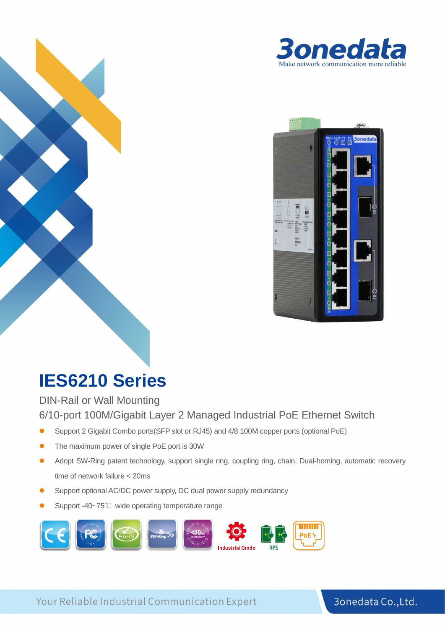



# **IES6210 Series**

DIN-Rail or Wall Mounting 6/10-port 100M/Gigabit Layer 2 Managed Industrial PoE Ethernet Switch

- Support 2 Gigabit Combo ports(SFP slot or RJ45) and 4/8 100M copper ports (optional PoE)
- The maximum power of single PoE port is 30W
- Adopt SW-Ring patent technology, support single ring, coupling ring, chain, Dual-homing, automatic recovery time of network failure < 20ms
- Support optional AC/DC power supply, DC dual power supply redundancy
- Support -40~75℃ wide operating temperature range



Your Reliable Industrial Communication Expert

#### **ri** 3onedata Co., Ltd.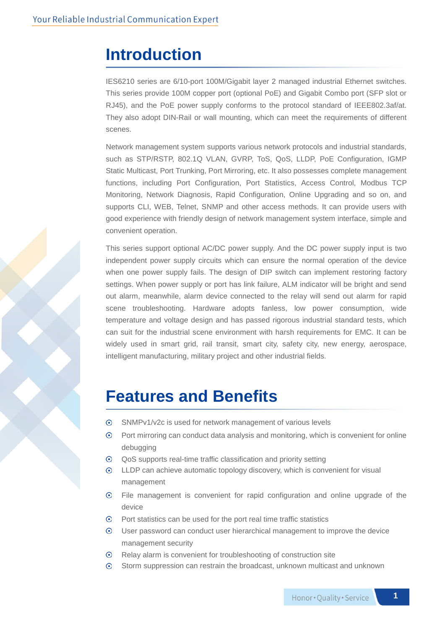### **Introduction**

IES6210 series are 6/10-port 100M/Gigabit layer 2 managed industrial Ethernet switches. This series provide 100M copper port (optional PoE) and Gigabit Combo port (SFP slot or RJ45), and the PoE power supply conforms to the protocol standard of IEEE802.3af/at. They also adopt DIN-Rail or wall mounting, which can meet the requirements of different scenes.

Network management system supports various network protocols and industrial standards, such as STP/RSTP, 802.1Q VLAN, GVRP, ToS, QoS, LLDP, PoE Configuration, IGMP Static Multicast, Port Trunking, Port Mirroring, etc. It also possesses complete management functions, including Port Configuration, Port Statistics, Access Control, Modbus TCP Monitoring, Network Diagnosis, Rapid Configuration, Online Upgrading and so on, and supports CLI, WEB, Telnet, SNMP and other access methods. It can provide users with good experience with friendly design of network management system interface, simple and convenient operation.

This series support optional AC/DC power supply. And the DC power supply input is two independent power supply circuits which can ensure the normal operation of the device when one power supply fails. The design of DIP switch can implement restoring factory settings. When power supply or port has link failure, ALM indicator will be bright and send out alarm, meanwhile, alarm device connected to the relay will send out alarm for rapid scene troubleshooting. Hardware adopts fanless, low power consumption, wide temperature and voltage design and has passed rigorous industrial standard tests, which can suit for the industrial scene environment with harsh requirements for EMC. It can be widely used in smart grid, rail transit, smart city, safety city, new energy, aerospace, intelligent manufacturing, military project and other industrial fields.

### **Features and Benefits**

- $\odot$ SNMPv1/v2c is used for network management of various levels
- $\odot$ Port mirroring can conduct data analysis and monitoring, which is convenient for online debugging
- $\odot$ QoS supports real-time traffic classification and priority setting
- $\odot$ LLDP can achieve automatic topology discovery, which is convenient for visual management
- $\odot$ File management is convenient for rapid configuration and online upgrade of the device
- $\odot$ Port statistics can be used for the port real time traffic statistics
- $\odot$ User password can conduct user hierarchical management to improve the device management security
- $\odot$ Relay alarm is convenient for troubleshooting of construction site
- Storm suppression can restrain the broadcast, unknown multicast and unknown  $\odot$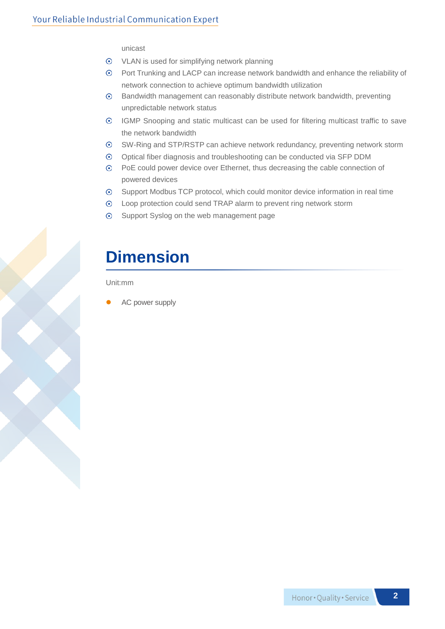unicast

- VLAN is used for simplifying network planning
- Port Trunking and LACP can increase network bandwidth and enhance the reliability of network connection to achieve optimum bandwidth utilization
- $\odot$ Bandwidth management can reasonably distribute network bandwidth, preventing unpredictable network status
- IGMP Snooping and static multicast can be used for filtering multicast traffic to save the network bandwidth
- SW-Ring and STP/RSTP can achieve network redundancy, preventing network storm  $\odot$
- $\odot$ Optical fiber diagnosis and troubleshooting can be conducted via SFP DDM
- PoE could power device over Ethernet, thus decreasing the cable connection of powered devices
- Support Modbus TCP protocol, which could monitor device information in real time  $\odot$
- Loop protection could send TRAP alarm to prevent ring network storm
- Support Syslog on the web management page

## **Dimension**

Unit:mm

AC power supply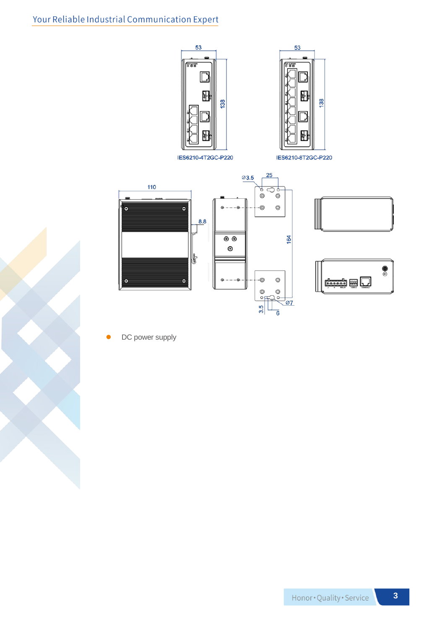



 $\bullet$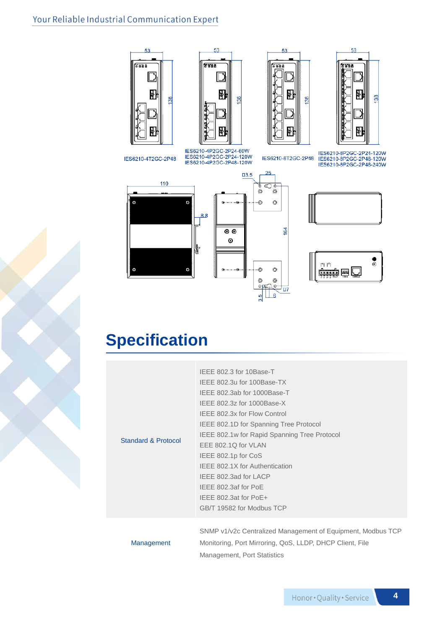#### Your Reliable Industrial Communication Expert









IES6210-4T2GC-2P48

IES6210-4P2GC-2P24-60W<br>IES6210-4P2GC-2P24-120W<br>IES6210-4P2GC-2P48-120W

IES6210-8T2GC-2P48

 $\circledcirc$ 

 $_{\odot}$ 

 $164$ 

<sup>לם ל</sup>

 $25$ 

 $\overset{\circ}{\ast} \circ \overset{\circ}{\cdot}$ 

-©

-©

 $\circledcirc$  $^{\circ}$  $^{\circ}$ 

 $\frac{5}{2}$   $\frac{1}{2}$ 

IES6210-8P2GC-2P24-120W<br>IES6210-8P2GC-2P48-120W<br>IES6210-8P2GC-2P48-240W







## **Specification**

| <b>Standard &amp; Protocol</b> | IEEE 802.3 for 10Base-T                                     |  |  |  |
|--------------------------------|-------------------------------------------------------------|--|--|--|
|                                | IEEE 802.3u for 100Base-TX                                  |  |  |  |
|                                | IFFE 802.3ab for 1000Base-T                                 |  |  |  |
|                                | IEEE 802.3z for 1000Base-X                                  |  |  |  |
|                                | IFFE 802.3x for Flow Control                                |  |  |  |
|                                | IEEE 802.1D for Spanning Tree Protocol                      |  |  |  |
|                                | IEEE 802.1w for Rapid Spanning Tree Protocol                |  |  |  |
|                                | EEE 802.1Q for VLAN                                         |  |  |  |
|                                | IEEE 802.1p for CoS                                         |  |  |  |
|                                | IFFE 802.1X for Authentication                              |  |  |  |
|                                | IEEE 802.3ad for LACP                                       |  |  |  |
|                                | IEEE 802.3af for PoE                                        |  |  |  |
|                                | IEEE 802.3at for PoE+                                       |  |  |  |
|                                | GB/T 19582 for Modbus TCP                                   |  |  |  |
|                                |                                                             |  |  |  |
| Management                     | SNMP v1/v2c Centralized Management of Equipment, Modbus TCP |  |  |  |
|                                | Monitoring, Port Mirroring, QoS, LLDP, DHCP Client, File    |  |  |  |
|                                | Management, Port Statistics                                 |  |  |  |

#### **4**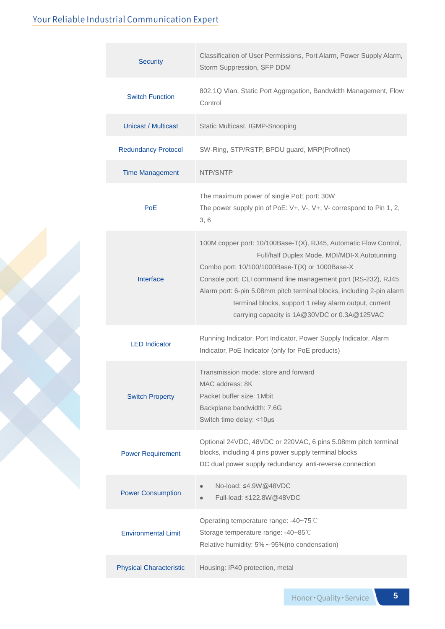### Your Reliable Industrial Communication Expert

| <b>Security</b>                | Classification of User Permissions, Port Alarm, Power Supply Alarm,<br>Storm Suppression, SFP DDM                                                                                                                                                                                                                                                                                                                      |  |  |  |
|--------------------------------|------------------------------------------------------------------------------------------------------------------------------------------------------------------------------------------------------------------------------------------------------------------------------------------------------------------------------------------------------------------------------------------------------------------------|--|--|--|
| <b>Switch Function</b>         | 802.1Q Vlan, Static Port Aggregation, Bandwidth Management, Flow<br>Control                                                                                                                                                                                                                                                                                                                                            |  |  |  |
| Unicast / Multicast            | Static Multicast, IGMP-Snooping                                                                                                                                                                                                                                                                                                                                                                                        |  |  |  |
| <b>Redundancy Protocol</b>     | SW-Ring, STP/RSTP, BPDU guard, MRP(Profinet)                                                                                                                                                                                                                                                                                                                                                                           |  |  |  |
| <b>Time Management</b>         | NTP/SNTP                                                                                                                                                                                                                                                                                                                                                                                                               |  |  |  |
| <b>PoE</b>                     | The maximum power of single PoE port: 30W<br>The power supply pin of PoE: V+, V-, V+, V- correspond to Pin 1, 2,<br>3, 6                                                                                                                                                                                                                                                                                               |  |  |  |
| Interface                      | 100M copper port: 10/100Base-T(X), RJ45, Automatic Flow Control,<br>Full/half Duplex Mode, MDI/MDI-X Autotunning<br>Combo port: 10/100/1000Base-T(X) or 1000Base-X<br>Console port: CLI command line management port (RS-232), RJ45<br>Alarm port: 6-pin 5.08mm pitch terminal blocks, including 2-pin alarm<br>terminal blocks, support 1 relay alarm output, current<br>carrying capacity is 1A@30VDC or 0.3A@125VAC |  |  |  |
| <b>LED</b> Indicator           | Running Indicator, Port Indicator, Power Supply Indicator, Alarm<br>Indicator, PoE Indicator (only for PoE products)                                                                                                                                                                                                                                                                                                   |  |  |  |
| <b>Switch Property</b>         | Transmission mode: store and forward<br>MAC address: 8K<br>Packet buffer size: 1 Mbit<br>Backplane bandwidth: 7.6G<br>Switch time delay: <10µs                                                                                                                                                                                                                                                                         |  |  |  |
| <b>Power Requirement</b>       | Optional 24VDC, 48VDC or 220VAC, 6 pins 5.08mm pitch terminal<br>blocks, including 4 pins power supply terminal blocks<br>DC dual power supply redundancy, anti-reverse connection                                                                                                                                                                                                                                     |  |  |  |
| <b>Power Consumption</b>       | No-load: ≤4.9W @48VDC<br>$\bullet$<br>Full-load: ≤122.8W @48VDC                                                                                                                                                                                                                                                                                                                                                        |  |  |  |
| <b>Environmental Limit</b>     | Operating temperature range: -40~75°C<br>Storage temperature range: -40~85°C<br>Relative humidity: 5% ~ 95%(no condensation)                                                                                                                                                                                                                                                                                           |  |  |  |
| <b>Physical Characteristic</b> | Housing: IP40 protection, metal                                                                                                                                                                                                                                                                                                                                                                                        |  |  |  |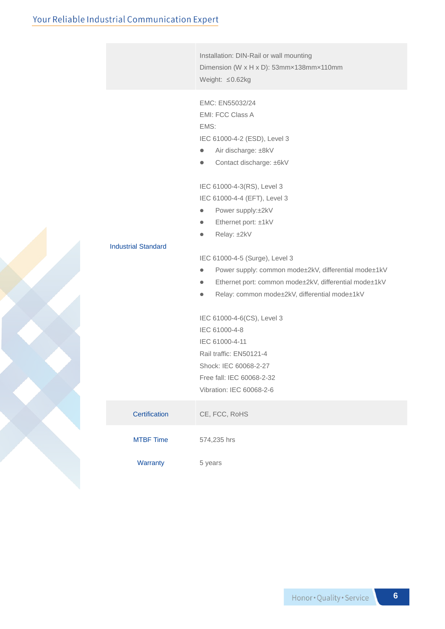